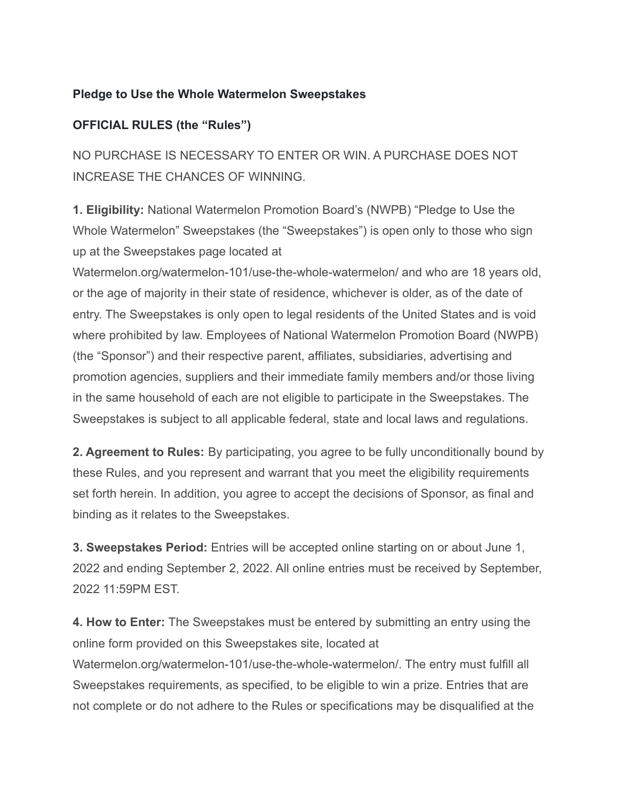## **Pledge to Use the Whole Watermelon Sweepstakes**

## **OFFICIAL RULES (the "Rules")**

NO PURCHASE IS NECESSARY TO ENTER OR WIN. A PURCHASE DOES NOT INCREASE THE CHANCES OF WINNING.

**1. Eligibility:** National Watermelon Promotion Board's (NWPB) "Pledge to Use the Whole Watermelon" Sweepstakes (the "Sweepstakes") is open only to those who sign up at the Sweepstakes page located at

Watermelon.org/watermelon-101/use-the-whole-watermelon/ and who are 18 years old, or the age of majority in their state of residence, whichever is older, as of the date of entry. The Sweepstakes is only open to legal residents of the United States and is void where prohibited by law. Employees of National Watermelon Promotion Board (NWPB) (the "Sponsor") and their respective parent, affiliates, subsidiaries, advertising and promotion agencies, suppliers and their immediate family members and/or those living in the same household of each are not eligible to participate in the Sweepstakes. The Sweepstakes is subject to all applicable federal, state and local laws and regulations.

**2. Agreement to Rules:** By participating, you agree to be fully unconditionally bound by these Rules, and you represent and warrant that you meet the eligibility requirements set forth herein. In addition, you agree to accept the decisions of Sponsor, as final and binding as it relates to the Sweepstakes.

**3. Sweepstakes Period:** Entries will be accepted online starting on or about June 1, 2022 and ending September 2, 2022. All online entries must be received by September, 2022 11:59PM EST.

**4. How to Enter:** The Sweepstakes must be entered by submitting an entry using the online form provided on this Sweepstakes site, located at Watermelon.org/watermelon-101/use-the-whole-watermelon/. The entry must fulfill all Sweepstakes requirements, as specified, to be eligible to win a prize. Entries that are not complete or do not adhere to the Rules or specifications may be disqualified at the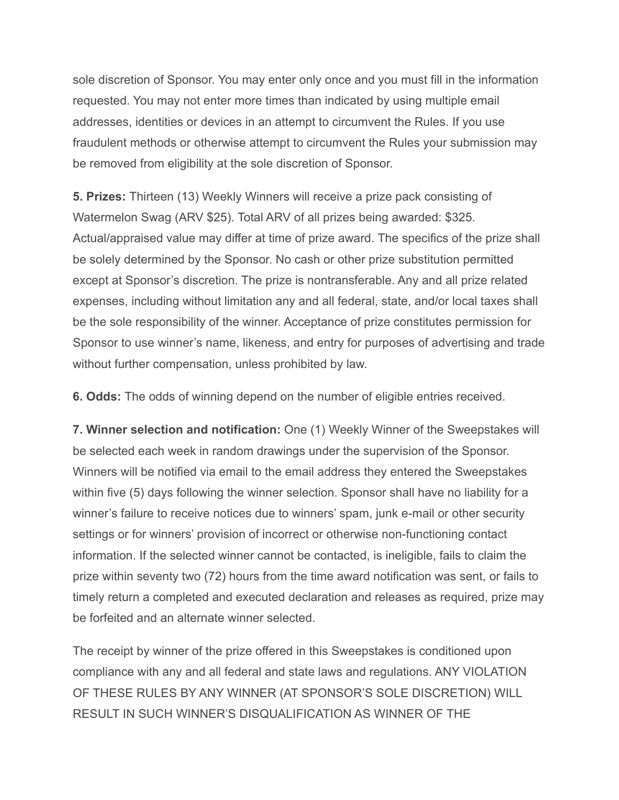sole discretion of Sponsor. You may enter only once and you must fill in the information requested. You may not enter more times than indicated by using multiple email addresses, identities or devices in an attempt to circumvent the Rules. If you use fraudulent methods or otherwise attempt to circumvent the Rules your submission may be removed from eligibility at the sole discretion of Sponsor.

**5. Prizes:** Thirteen (13) Weekly Winners will receive a prize pack consisting of Watermelon Swag (ARV \$25). Total ARV of all prizes being awarded: \$325. Actual/appraised value may differ at time of prize award. The specifics of the prize shall be solely determined by the Sponsor. No cash or other prize substitution permitted except at Sponsor's discretion. The prize is nontransferable. Any and all prize related expenses, including without limitation any and all federal, state, and/or local taxes shall be the sole responsibility of the winner. Acceptance of prize constitutes permission for Sponsor to use winner's name, likeness, and entry for purposes of advertising and trade without further compensation, unless prohibited by law.

**6. Odds:** The odds of winning depend on the number of eligible entries received.

**7. Winner selection and notification:** One (1) Weekly Winner of the Sweepstakes will be selected each week in random drawings under the supervision of the Sponsor. Winners will be notified via email to the email address they entered the Sweepstakes within five (5) days following the winner selection. Sponsor shall have no liability for a winner's failure to receive notices due to winners' spam, junk e-mail or other security settings or for winners' provision of incorrect or otherwise non-functioning contact information. If the selected winner cannot be contacted, is ineligible, fails to claim the prize within seventy two (72) hours from the time award notification was sent, or fails to timely return a completed and executed declaration and releases as required, prize may be forfeited and an alternate winner selected.

The receipt by winner of the prize offered in this Sweepstakes is conditioned upon compliance with any and all federal and state laws and regulations. ANY VIOLATION OF THESE RULES BY ANY WINNER (AT SPONSOR'S SOLE DISCRETION) WILL RESULT IN SUCH WINNER'S DISQUALIFICATION AS WINNER OF THE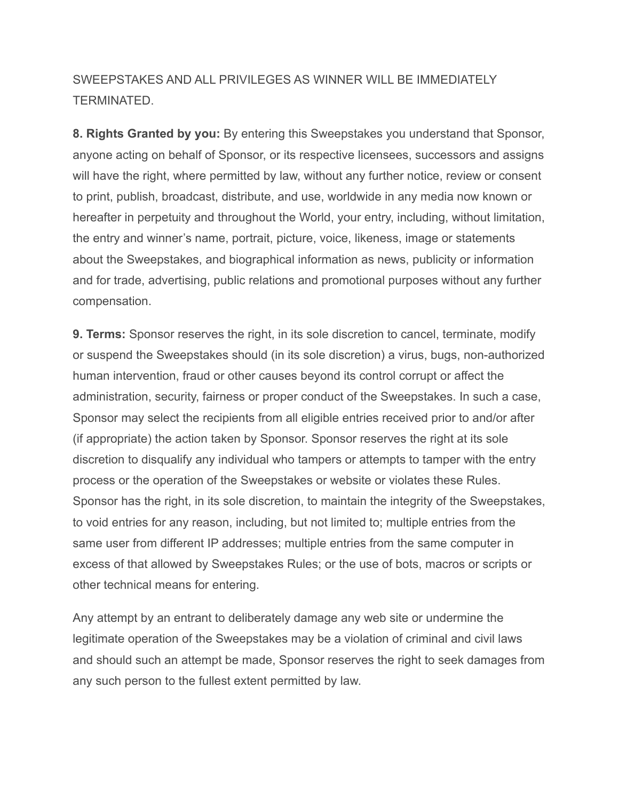## SWEEPSTAKES AND ALL PRIVILEGES AS WINNER WILL BE IMMEDIATELY TERMINATED.

**8. Rights Granted by you:** By entering this Sweepstakes you understand that Sponsor, anyone acting on behalf of Sponsor, or its respective licensees, successors and assigns will have the right, where permitted by law, without any further notice, review or consent to print, publish, broadcast, distribute, and use, worldwide in any media now known or hereafter in perpetuity and throughout the World, your entry, including, without limitation, the entry and winner's name, portrait, picture, voice, likeness, image or statements about the Sweepstakes, and biographical information as news, publicity or information and for trade, advertising, public relations and promotional purposes without any further compensation.

**9. Terms:** Sponsor reserves the right, in its sole discretion to cancel, terminate, modify or suspend the Sweepstakes should (in its sole discretion) a virus, bugs, non-authorized human intervention, fraud or other causes beyond its control corrupt or affect the administration, security, fairness or proper conduct of the Sweepstakes. In such a case, Sponsor may select the recipients from all eligible entries received prior to and/or after (if appropriate) the action taken by Sponsor. Sponsor reserves the right at its sole discretion to disqualify any individual who tampers or attempts to tamper with the entry process or the operation of the Sweepstakes or website or violates these Rules. Sponsor has the right, in its sole discretion, to maintain the integrity of the Sweepstakes, to void entries for any reason, including, but not limited to; multiple entries from the same user from different IP addresses; multiple entries from the same computer in excess of that allowed by Sweepstakes Rules; or the use of bots, macros or scripts or other technical means for entering.

Any attempt by an entrant to deliberately damage any web site or undermine the legitimate operation of the Sweepstakes may be a violation of criminal and civil laws and should such an attempt be made, Sponsor reserves the right to seek damages from any such person to the fullest extent permitted by law.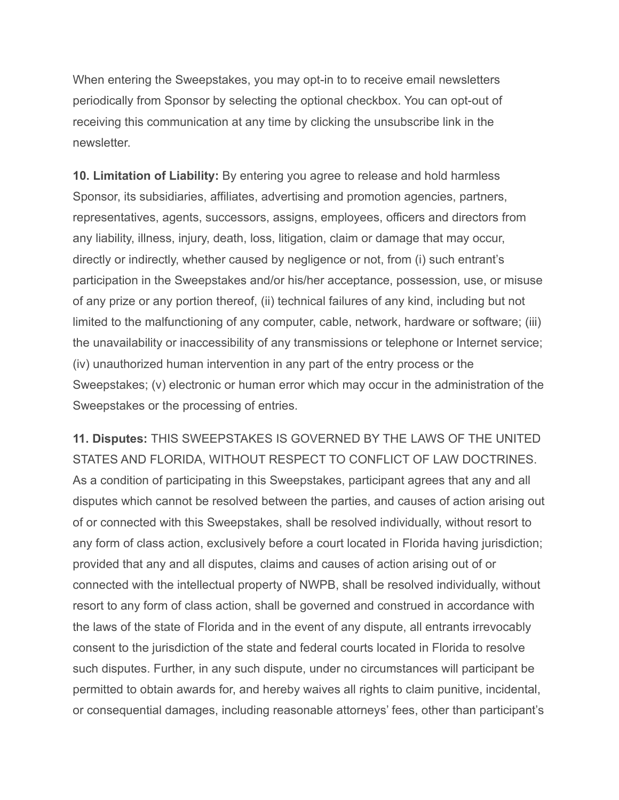When entering the Sweepstakes, you may opt-in to to receive email newsletters periodically from Sponsor by selecting the optional checkbox. You can opt-out of receiving this communication at any time by clicking the unsubscribe link in the newsletter.

**10. Limitation of Liability:** By entering you agree to release and hold harmless Sponsor, its subsidiaries, affiliates, advertising and promotion agencies, partners, representatives, agents, successors, assigns, employees, officers and directors from any liability, illness, injury, death, loss, litigation, claim or damage that may occur, directly or indirectly, whether caused by negligence or not, from (i) such entrant's participation in the Sweepstakes and/or his/her acceptance, possession, use, or misuse of any prize or any portion thereof, (ii) technical failures of any kind, including but not limited to the malfunctioning of any computer, cable, network, hardware or software; (iii) the unavailability or inaccessibility of any transmissions or telephone or Internet service; (iv) unauthorized human intervention in any part of the entry process or the Sweepstakes; (v) electronic or human error which may occur in the administration of the Sweepstakes or the processing of entries.

**11. Disputes:** THIS SWEEPSTAKES IS GOVERNED BY THE LAWS OF THE UNITED STATES AND FLORIDA, WITHOUT RESPECT TO CONFLICT OF LAW DOCTRINES. As a condition of participating in this Sweepstakes, participant agrees that any and all disputes which cannot be resolved between the parties, and causes of action arising out of or connected with this Sweepstakes, shall be resolved individually, without resort to any form of class action, exclusively before a court located in Florida having jurisdiction; provided that any and all disputes, claims and causes of action arising out of or connected with the intellectual property of NWPB, shall be resolved individually, without resort to any form of class action, shall be governed and construed in accordance with the laws of the state of Florida and in the event of any dispute, all entrants irrevocably consent to the jurisdiction of the state and federal courts located in Florida to resolve such disputes. Further, in any such dispute, under no circumstances will participant be permitted to obtain awards for, and hereby waives all rights to claim punitive, incidental, or consequential damages, including reasonable attorneys' fees, other than participant's